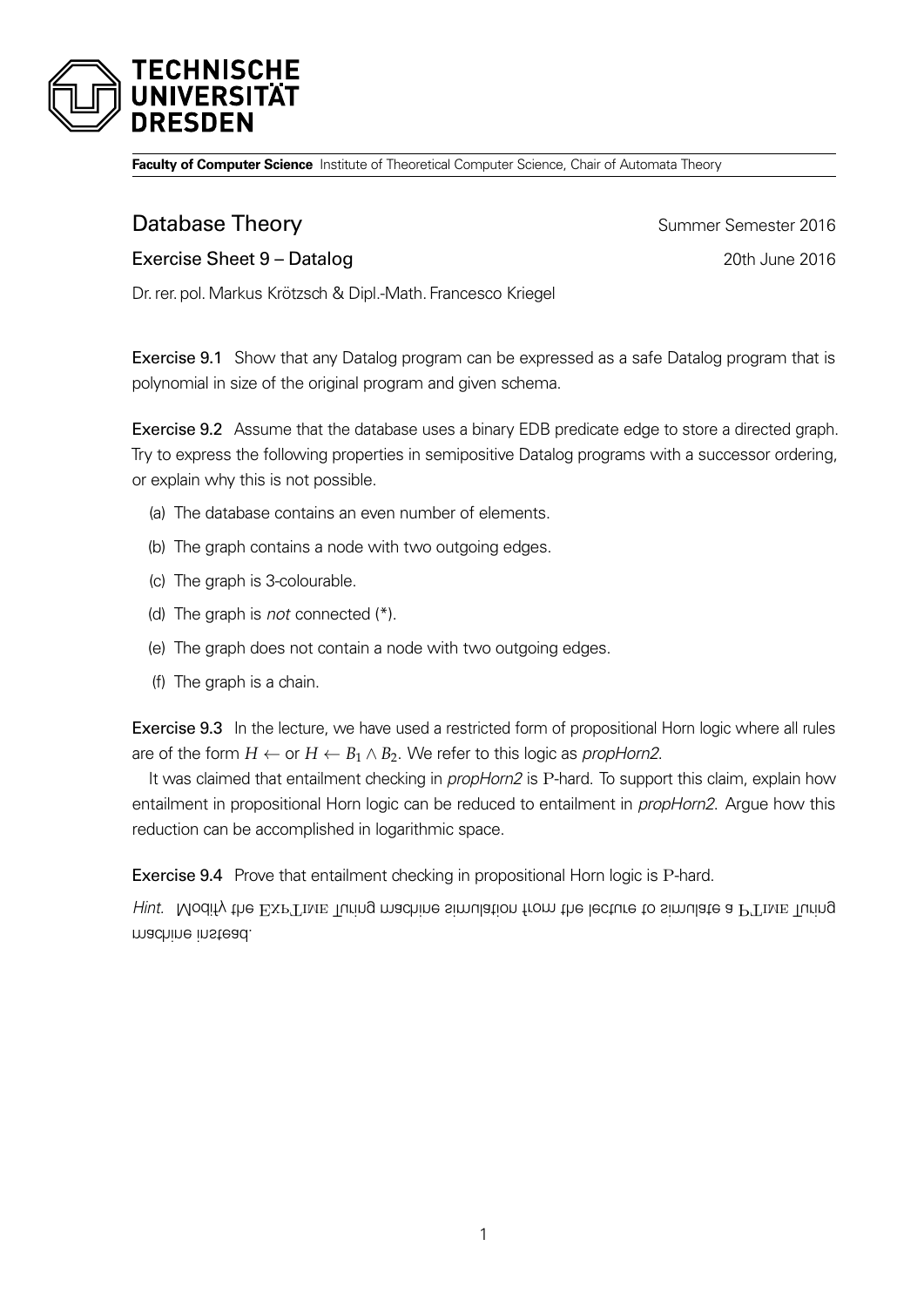

**Faculty of Computer Science** Institute of Theoretical Computer Science, Chair of Automata Theory

**Database Theory Summer Semester 2016** 

Exercise Sheet 9 – Datalog 2016

Dr. rer. pol.Markus Krötzsch & Dipl.-Math. Francesco Kriegel

Exercise 9.1 Show that any Datalog program can be expressed as a safe Datalog program that is polynomial in size of the original program and given schema.

Exercise 9.2 Assume that the database uses a binary EDB predicate edge to store a directed graph. Try to express the following properties in semipositive Datalog programs with a successor ordering, or explain why this is not possible.

- (a) The database contains an even number of elements.
- (b) The graph contains a node with two outgoing edges.
- (c) The graph is 3-colourable.
- (d) The graph is *not* connected  $(*)$ .
- (e) The graph does not contain a node with two outgoing edges.
- (f) The graph is a chain.

Exercise 9.3 In the lecture, we have used a restricted form of propositional Horn logic where all rules are of the form  $H \leftarrow$  or  $H \leftarrow B_1 \wedge B_2$ . We refer to this logic as *propHorn2*.

It was claimed that entailment checking in *propHorn2* is P-hard. To support this claim, explain how entailment in propositional Horn logic can be reduced to entailment in *propHorn2*. Argue how this reduction can be accomplished in logarithmic space.

Exercise 9.4 Prove that entailment checking in propositional Horn logic is P-hard.

Hint. Modify the  $EXP$ Time Turing machine simulation from the lecture to simulate a PTime Turing machine instead.